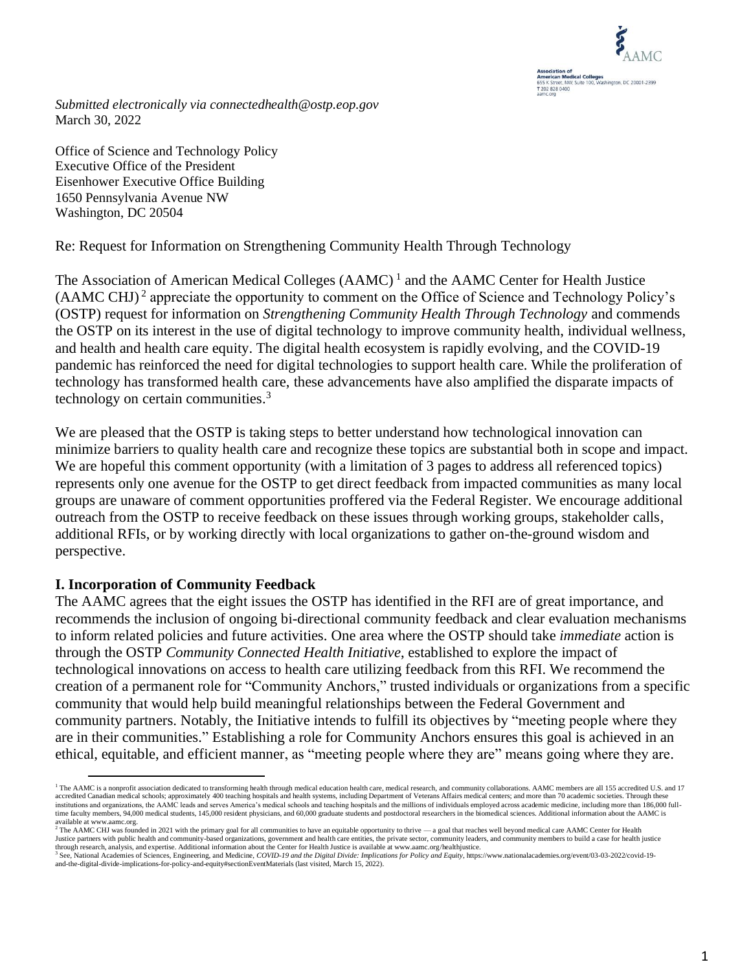

*Submitted electronically via connectedhealth@ostp.eop.gov* March 30, 2022

Office of Science and Technology Policy Executive Office of the President Eisenhower Executive Office Building 1650 Pennsylvania Avenue NW Washington, DC 20504

Re: Request for Information on Strengthening Community Health Through Technology

The Association of American Medical Colleges (AAMC)<sup>1</sup> and the AAMC Center for Health Justice  $(AAMC CHJ)<sup>2</sup>$  appreciate the opportunity to comment on the Office of Science and Technology Policy's (OSTP) request for information on *Strengthening Community Health Through Technology* and commends the OSTP on its interest in the use of digital technology to improve community health, individual wellness, and health and health care equity. The digital health ecosystem is rapidly evolving, and the COVID-19 pandemic has reinforced the need for digital technologies to support health care. While the proliferation of technology has transformed health care, these advancements have also amplified the disparate impacts of technology on certain communities.<sup>3</sup>

We are pleased that the OSTP is taking steps to better understand how technological innovation can minimize barriers to quality health care and recognize these topics are substantial both in scope and impact. We are hopeful this comment opportunity (with a limitation of 3 pages to address all referenced topics) represents only one avenue for the OSTP to get direct feedback from impacted communities as many local groups are unaware of comment opportunities proffered via the Federal Register. We encourage additional outreach from the OSTP to receive feedback on these issues through working groups, stakeholder calls, additional RFIs, or by working directly with local organizations to gather on-the-ground wisdom and perspective.

# **I. Incorporation of Community Feedback**

The AAMC agrees that the eight issues the OSTP has identified in the RFI are of great importance, and recommends the inclusion of ongoing bi-directional community feedback and clear evaluation mechanisms to inform related policies and future activities. One area where the OSTP should take *immediate* action is through the OSTP *Community Connected Health Initiative*, established to explore the impact of technological innovations on access to health care utilizing feedback from this RFI. We recommend the creation of a permanent role for "Community Anchors," trusted individuals or organizations from a specific community that would help build meaningful relationships between the Federal Government and community partners. Notably, the Initiative intends to fulfill its objectives by "meeting people where they are in their communities." Establishing a role for Community Anchors ensures this goal is achieved in an ethical, equitable, and efficient manner, as "meeting people where they are" means going where they are.

<sup>1</sup> The AAMC is a nonprofit association dedicated to transforming health through medical education health care, medical research, and community collaborations. AAMC members are all 155 accredited U.S. and 17 accredited Canadian medical schools; approximately 400 teaching hospitals and health systems, including Department of Veterans Affairs medical centers; and more than 70 academic societies. Through these institutions and organizations, the AAMC leads and serves America's medical schools and teaching hospitals and the millions of individuals employed across academic medicine, including more than 186,000 full-<br>time faculty m available a[t www.aamc.org.](http://www.aamc.org/)

<sup>&</sup>lt;sup>2</sup> The AAMC CHJ was founded in 2021 with the primary goal for all communities to have an equitable opportunity to thrive —a goal that reaches well beyond medical care AAMC Center for Health<br>Justice partners with public he through research, analysis, and expertise. Additional information about the Center for Health Justice is available at www.aamc.org/healthjustice.

<sup>3</sup> See, National Academies of Sciences, Engineering, and Medicine, *COVID-19 and the Digital Divide: Implications for Policy and Equity*, https://www.nationalacademies.org/event/03-03-2022/covid-19 and-the-digital-divide-implications-for-policy-and-equity#sectionEventMaterials (last visited, March 15, 2022).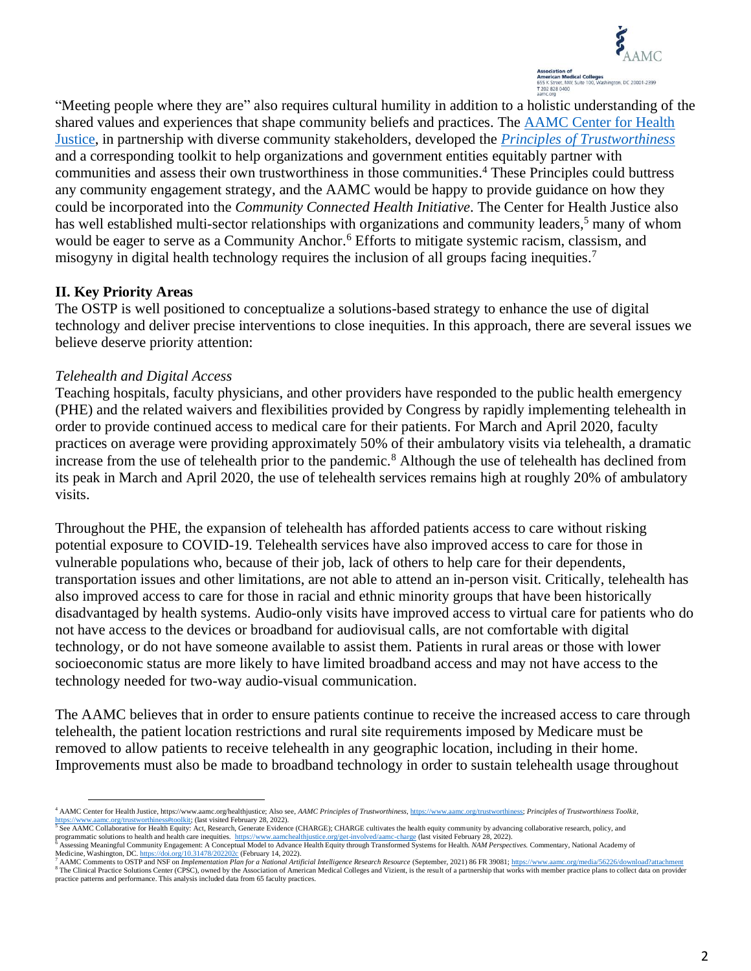

"Meeting people where they are" also requires cultural humility in addition to a holistic understanding of the shared values and experiences that shape community beliefs and practices. The [AAMC Center for Health](https://www.aamchealthjustice.org/)  [Justice,](https://www.aamchealthjustice.org/) in partnership with diverse community stakeholders, developed the *Principles [of Trustworthiness](https://www.aamchealthjustice.org/resources/trustworthiness-toolkit)* and a corresponding toolkit to help organizations and government entities equitably partner with communities and assess their own trustworthiness in those communities. <sup>4</sup> These Principles could buttress any community engagement strategy, and the AAMC would be happy to provide guidance on how they could be incorporated into the *Community Connected Health Initiative*. The Center for Health Justice also has well established multi-sector relationships with organizations and community leaders,<sup>5</sup> many of whom would be eager to serve as a Community Anchor. <sup>6</sup> Efforts to mitigate systemic racism, classism, and misogyny in digital health technology requires the inclusion of all groups facing inequities.<sup>7</sup>

## **II. Key Priority Areas**

The OSTP is well positioned to conceptualize a solutions-based strategy to enhance the use of digital technology and deliver precise interventions to close inequities. In this approach, there are several issues we believe deserve priority attention:

## *Telehealth and Digital Access*

Teaching hospitals, faculty physicians, and other providers have responded to the public health emergency (PHE) and the related waivers and flexibilities provided by Congress by rapidly implementing telehealth in order to provide continued access to medical care for their patients. For March and April 2020, faculty practices on average were providing approximately 50% of their ambulatory visits via telehealth, a dramatic increase from the use of telehealth prior to the pandemic.<sup>8</sup> Although the use of telehealth has declined from its peak in March and April 2020, the use of telehealth services remains high at roughly 20% of ambulatory visits.

Throughout the PHE, the expansion of telehealth has afforded patients access to care without risking potential exposure to COVID-19. Telehealth services have also improved access to care for those in vulnerable populations who, because of their job, lack of others to help care for their dependents, transportation issues and other limitations, are not able to attend an in-person visit. Critically, telehealth has also improved access to care for those in racial and ethnic minority groups that have been historically disadvantaged by health systems. Audio-only visits have improved access to virtual care for patients who do not have access to the devices or broadband for audiovisual calls, are not comfortable with digital technology, or do not have someone available to assist them. Patients in rural areas or those with lower socioeconomic status are more likely to have limited broadband access and may not have access to the technology needed for two-way audio-visual communication.

The AAMC believes that in order to ensure patients continue to receive the increased access to care through telehealth, the patient location restrictions and rural site requirements imposed by Medicare must be removed to allow patients to receive telehealth in any geographic location, including in their home. Improvements must also be made to broadband technology in order to sustain telehealth usage throughout

<sup>4</sup> AAMC Center for Health Justice, https://www.aamc.org/healthjustice; Also see, *AAMC Principles of Trustworthiness*[, https://www.aamc.org/trustworthiness;](https://www.aamc.org/trustworthiness) *Principles of Trustworthiness Toolkit*, [https://www.aamc.org/trustworthiness#toolkit;](https://www.aamc.org/trustworthiness#toolkit) (last visited February 28, 2022).<br><sup>5</sup> See AAMC Collaborative for Health Equity: Act, Research, Generate Evidence (CHARGE); CHARGE cultivates the health equity community by adva

programmatic solutions to health and health care inequities. <https://www.aamchealthjustice.org/get-involved/aamc-charge> (last visited February 28, 2022).<br><sup>6</sup> Assessing Meaningful Community Engagement: A Conceptual Model to

Medicine, Washington, DC. <https://doi.org/10.31478/202202c> (February 14, 2022).<br><sup>7</sup> AAMC Comments to OSTP and NSF on *Implementation Plan for a National Artificial Intelligence Research Resource* (September, 2021) 86 FR 39

<sup>&</sup>lt;sup>8</sup> The Clinical Practice Solutions Center (CPSC), owned by the Association of American Medical Colleges and Vizient, is the result of a partnership that works with member practice plans to collect data on provider practice patterns and performance. This analysis included data from 65 faculty practices.